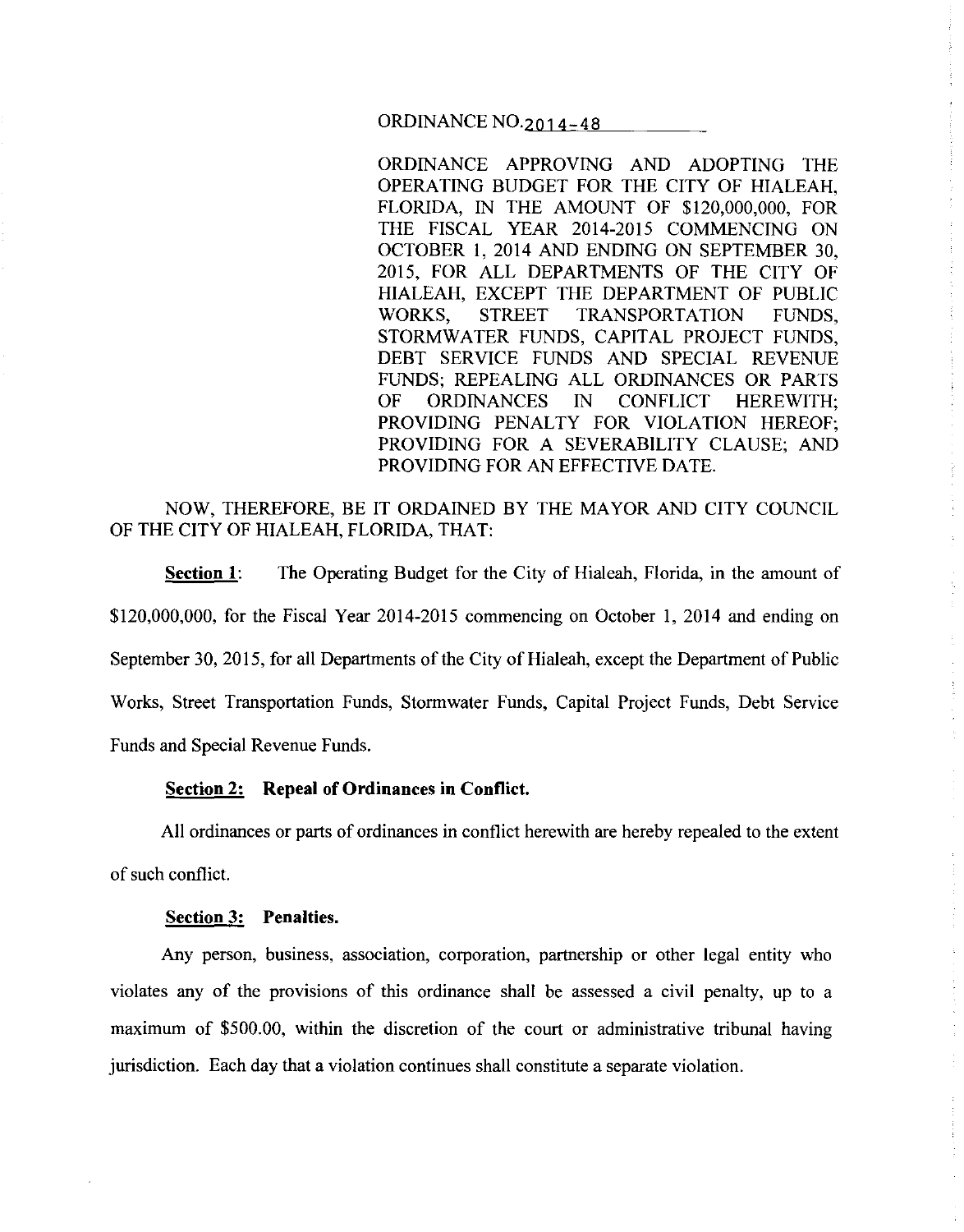ORDINANCE NO. 2014 - 48

ORDINANCE APPROVING AND ADOPTING THE OPERATING BUDGET FOR THE CITY OF HIALEAH, FLORIDA, IN THE AMOUNT OF \$120,000,000, FOR THE FISCAL YEAR 2014-2015 COMMENCING ON OCTOBER I, 2014 AND ENDING ON SEPTEMBER 30, 2015, FOR ALL DEPARTMENTS OF THE CITY OF HIALEAH, EXCEPT THE DEPARTMENT OF PUBLIC WORKS, STREET TRANSPORTATION FUNDS, STORMWATER FUNDS, CAPITAL PROJECT FUNDS, DEBT SERVICE FUNDS AND SPECIAL REVENUE FUNDS; REPEALING ALL ORDINANCES OR PARTS OF ORDINANCES IN CONFLICT HEREWITH; PROVIDING PENALTY FOR VIOLATION HEREOF; PROVIDING FOR A SEVERABILITY CLAUSE; AND PROVIDING FOR AN EFFECTIVE DATE.

# NOW, THEREFORE, BE IT ORDAINED BY THE MAYOR AND CITY COUNCIL OF THE CITY OF HIALEAH, FLORIDA, THAT:

**<u>Section 1</u>:** The Operating Budget for the City of Hialeah, Florida, in the amount of \$120,000,000, for the Fiscal Year 2014-2015 commencing on October I, 2014 and ending on September 30,2015, for all Departments of the City of Hialeah, except the Department of Public Works, Street Transportation Funds, Stormwater Funds, Capital Project Funds, Debt Service Funds and Special Revenue Funds.

### **Section 2: Repeal of Ordinances in Conflict.**

All ordinances or parts of ordinances in conflict herewith are hereby repealed to the extent

of such conflict.

#### **Section 3: Penalties.**

Any person, business, association, corporation, partnership or other legal entity who violates any of the provisions of this ordinance shall be assessed a civil penalty, up to a maximum of \$500.00, within the discretion of the court or administrative tribunal having jurisdiction. Each day that a violation continues shall constitute a separate violation.